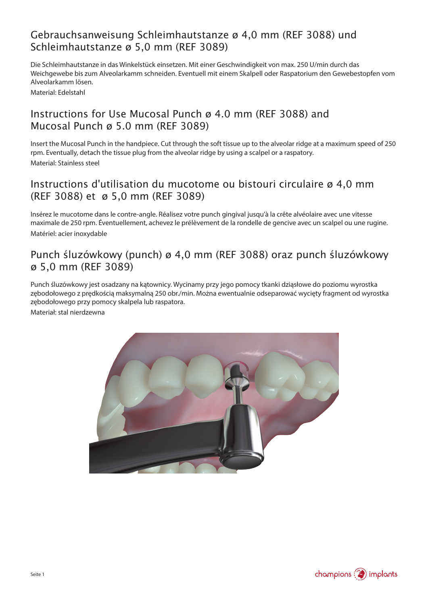# Gebrauchsanweisung Schleimhautstanze ø 4,0 mm (REF 3088) und Schleimhautstanze ø 5,0 mm (REF 3089)

Die Schleimhautstanze in das Winkelstück einsetzen. Mit einer Geschwindigkeit von max. 250 U/min durch das Weichgewebe bis zum Alveolarkamm schneiden. Eventuell mit einem Skalpell oder Raspatorium den Gewebestopfen vom Alveolarkamm lösen.

Material: Edelstahl

## Instructions for Use Mucosal Punch ø 4.0 mm (REF 3088) and Mucosal Punch ø 5.0 mm (REF 3089)

Insert the Mucosal Punch in the handpiece. Cut through the soft tissue up to the alveolar ridge at a maximum speed of 250 rpm. Eventually, detach the tissue plug from the alveolar ridge by using a scalpel or a raspatory. Material: Stainless steel

## Instructions d'utilisation du mucotome ou bistouri circulaire ø 4,0 mm (REF 3088) et ø 5,0 mm (REF 3089)

Insérez le mucotome dans le contre-angle. Réalisez votre punch gingival jusqu'à la crête alvéolaire avec une vitesse maximale de 250 rpm. Éventuellement, achevez le prélèvement de la rondelle de gencive avec un scalpel ou une rugine. Matériel: acier inoxydable

## Punch śluzówkowy (punch) ø 4,0 mm (REF 3088) oraz punch śluzówkowy ø 5,0 mm (REF 3089)

Punch śluzówkowy jest osadzany na kątownicy. Wycinamy przy jego pomocy tkanki dziąsłowe do poziomu wyrostka zębodołowego z prędkością maksymalną 250 obr./min. Można ewentualnie odseparować wycięty fragment od wyrostka zębodołowego przy pomocy skalpela lub raspatora.

Materiał: stal nierdzewna